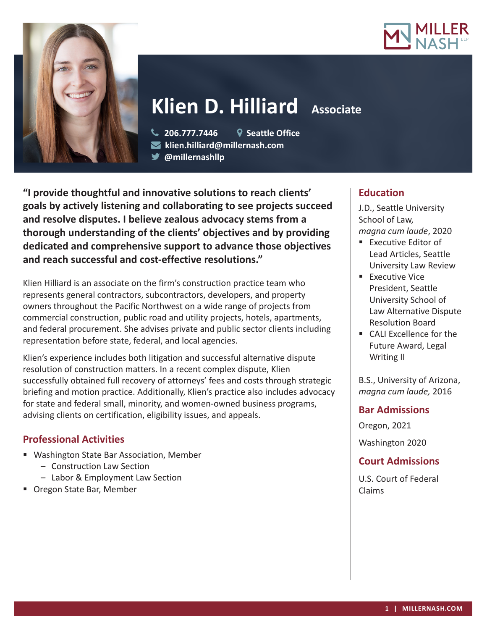



# **Klien D. Hilliard Associate**

 **206.777.7446 Seattle Office klien.hilliard@millernash.com** 

**@millernashllp**

**"I provide thoughtful and innovative solutions to reach clients' goals by actively listening and collaborating to see projects succeed and resolve disputes. I believe zealous advocacy stems from a thorough understanding of the clients' objectives and by providing dedicated and comprehensive support to advance those objectives and reach successful and cost-effective resolutions."**

Klien Hilliard is an associate on the firm's construction practice team who represents general contractors, subcontractors, developers, and property owners throughout the Pacific Northwest on a wide range of projects from commercial construction, public road and utility projects, hotels, apartments, and federal procurement. She advises private and public sector clients including representation before state, federal, and local agencies.

Klien's experience includes both litigation and successful alternative dispute resolution of construction matters. In a recent complex dispute, Klien successfully obtained full recovery of attorneys' fees and costs through strategic briefing and motion practice. Additionally, Klien's practice also includes advocacy for state and federal small, minority, and women-owned business programs, advising clients on certification, eligibility issues, and appeals.

## **Professional Activities**

- Washington State Bar Association, Member
	- Construction Law Section
	- Labor & Employment Law Section
- **Dregon State Bar, Member**

# **Education**

J.D., Seattle University School of Law, *magna cum laude*, 2020

- **Executive Editor of** Lead Articles, Seattle University Law Review
- **Executive Vice** President, Seattle University School of Law Alternative Dispute Resolution Board
- CALL Excellence for the Future Award, Legal Writing II

B.S., University of Arizona, *magna cum laude,* 2016

### **Bar Admissions**

Oregon, 2021

Washington 2020

## **Court Admissions**

U.S. Court of Federal Claims